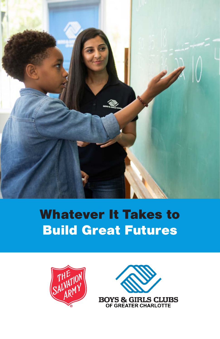

# Whatever It Takes to Build Great Futures



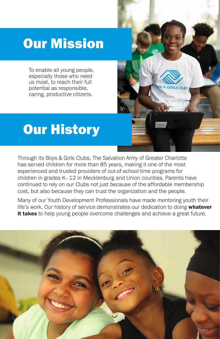# Our Mission

To enable all young people, especially those who need us most, to reach their full potential as responsible, caring, productive citizens.

## Our History

Through its Boys & Girls Clubs, The Salvation Army of Greater Charlotte has served children for more than 85 years, making it one of the most experienced and trusted providers of out-of-school-time programs for children in grades K–12 in Mecklenburg and Union counties. Parents have continued to rely on our Clubs not just because of the affordable membership cost, but also because they can trust the organization and the people.

 $O<sub>1</sub>$ 

Many of our Youth Development Professionals have made mentoring youth their life's work. Our history of service demonstrates our dedication to doing whatever it takes to help young people overcome challenges and achieve a great future.

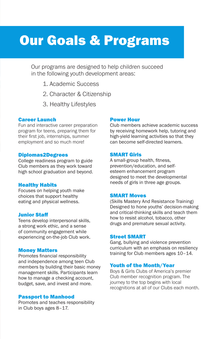## Our Goals & Programs

Our programs are designed to help children succeed in the following youth development areas:

- 1. Academic Success
- 2. Character & Citizenship
- 3. Healthy Lifestyles

#### Career Launch

Fun and interactive career preparation program for teens, preparing them for their first job, internships, summer employment and so much more!

#### Diplomas2Degrees

College readiness program to guide Club members as they work toward high school graduation and beyond.

#### Healthy Habits

Focuses on helping youth make choices that support healthy eating and physical wellness.

#### Junior Staff

Teens develop interpersonal skills, a strong work ethic, and a sense of community engagement while experiencing on-the-job Club work.

#### Money Matters

Promotes financial responsibility and independence among teen Club members by building their basic money management skills. Participants learn how to manage a checking account, budget, save, and invest and more.

#### Passport to Manhood

Promotes and teaches responsibility in Club boys ages 8–17.

#### Power Hour

Club members achieve academic success by receiving homework help, tutoring and high-yield learning activities so that they can become self-directed learners.

#### SMART Girls

A small-group health, fitness, prevention/education, and selfesteem enhancement program designed to meet the developmental needs of girls in three age groups.

#### SMART Moves

(Skills Mastery And Resistance Training) Designed to hone youths' decision-making and critical-thinking skills and teach them how to resist alcohol, tobacco, other drugs and premature sexual activity.

#### Street SMART

Gang, bullying and violence prevention curriculum with an emphasis on resiliency training for Club members ages 10–14.

#### Youth of the Month/Year

Boys & Girls Clubs of America's premier Club member recognition program. The journey to the top begins with local recognitions at all of our Clubs each month.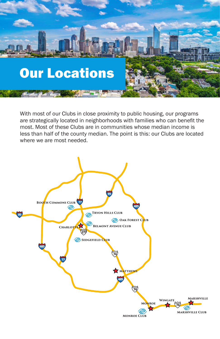

With most of our Clubs in close proximity to public housing, our programs are strategically located in neighborhoods with families who can benefit the most. Most of these Clubs are in communities whose median income is less than half of the county median. The point is this: our Clubs are located where we are most needed.

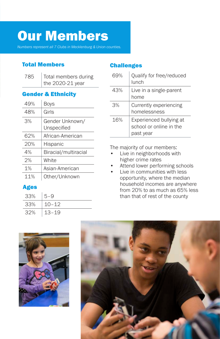# Our Members

*Numbers represent all 7 Clubs in Mecklenburg & Union counties.*

## Total Members

| 785 | Total members during |
|-----|----------------------|
|     | the 2020-21 year     |

### Gender & Ethnicity

| 49% | Boys                           |
|-----|--------------------------------|
| 48% | Girls                          |
| 3%  | Gender Unknown/<br>Unspecified |
| 62% | African-American               |
| 20% | Hispanic                       |
| 4%  | Biracial/multiracial           |
| 2%  | White                          |
| 1%  | Asian-American                 |
| 11% | Other/Unknown                  |

### Ages

| 33% | $5 - 9$   |
|-----|-----------|
| 33% | $10 - 12$ |
| 32% | $13 - 19$ |

### **Challenges**

| 69% | Qualify for free/reduced<br>lunch                               |
|-----|-----------------------------------------------------------------|
| 43% | Live in a single-parent<br>home                                 |
| 3%  | Currently experiencing<br>homelessness                          |
| 16% | Experienced bullying at<br>school or online in the<br>past year |

The majority of our members:

- Live in neighborhoods with higher crime rates
- Attend lower performing schools
- Live in communities with less opportunity, where the median household incomes are anywhere from 20% to as much as 65% less than that of rest of the county



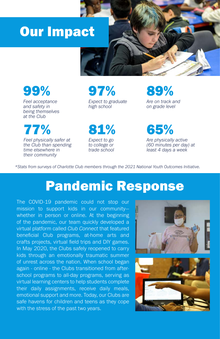## Our Impact



99%

*Feel acceptance and safety in being themselves at the Club*

77%

*Feel physically safer at the Club than spending time elsewhere in their community*

## 97% *Expect to graduate high school*

81%

*Expect to go to college or trade school* 89%

*Are on track and on grade level*

65% *Are physically active (60 minutes per day) at least 4 days a week*

*\*Stats from surveys of Charlotte Club members through the 2021 National Youth Outcomes Initiative.*

## Pandemic Response

The COVID-19 pandemic could not stop our mission to support kids in our community whether in person or online. At the beginning of the pandemic, our team quickly developed a virtual platform called *Club Connect* that featured beneficial Club programs, at-home arts and crafts projects, virtual field trips and DIY games. In May 2020, the Clubs safely reopened to carry kids through an emotionally traumatic summer of unrest across the nation. When school began again - online - the Clubs transitioned from afterschool programs to all-day programs, serving as virtual learning centers to help students complete their daily assignments, receive daily meals, emotional support and more. Today, our Clubs are safe havens for children and teens as they cope with the stress of the past two years.

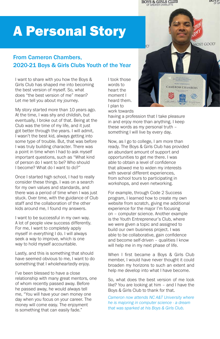A Personal Story

### From Cameron Chambers, 2020-21 Boys & Girls Clubs Youth of the Year

I want to share with you how the Boys & Girls Club has shaped me into becoming the best version of myself. So, what does "the best version of me" mean? Let me tell you about my journey.

My story started more than 10 years ago. At the time, I was shy and childish, but eventually, I broke out of that. Being at the Club was the time of my life, and it just got better through the years. I will admit, I wasn't the best kid, always getting into some type of trouble. But, that was before I was truly building character. There was a point in time when I had to ask myself important questions, such as "What kind of person do I want to be? Who should I become? What do I want to do?"

Once I started high school, I had to really consider these things. I was on a search for my own values and standards, and there was a period of time when I was just stuck. Over time, with the guidance of Club staff and the collaboration of the other kids around me, I found my answers.

I want to be successful in my own way. A lot of people view success differently. For me, I want to completely apply myself in everything I do. I will always seek a way to improve, which is one way to hold myself accountable.

Lastly, and this is something that should have seemed obvious to me, I want to do something that I wholeheartedly enjoy.

I've been blessed to have a close relationship with many great mentors, one of whom recently passed away. Before he passed away, he would always tell me, "You will have your own money one day when you focus on your career. The money will come easy. The enjoyment is something that can easily fade."

I took those words to heart the moment I heard them. I plan to work towards

having a profession that I take pleasure in and enjoy more than anything. I keep these words as my personal truth – something I will live by every day.

Now, as I go to college, I am more than ready. The Boys & Girls Club has provided an abundant amount of support and opportunities to get me there. I was able to obtain a level of confidence that allowed me to widen my interests with several different experiences, from school tours to participating in workshops, and even networking.

For example, through Code 2 Success program, I learned how to create my own website from scratch, giving me additional experience for the major I'm focusing on – computer science. Another example is the Youth Entrepreneur's Club, where we were given a topic and assigned to build our own business project. I was able to be collaborative, gain confidence and become self-driven – qualities I know will help me in my next phase of life.

When I first became a Boys & Girls Club member, I would have never thought it could broaden my horizons to such an extent and help me develop into what I have become.

So, what does the best version of me look like? You are looking at him – and I have the Boys & Girls Club to thank for that.

*Cameron now attends NC A&T University where he is majoring in computer science - a dream that was sparked at his Boys & Girls Club.*



вин

**BOYS & GIRLS CLUB** 

OF GREATER CHARLOTTE